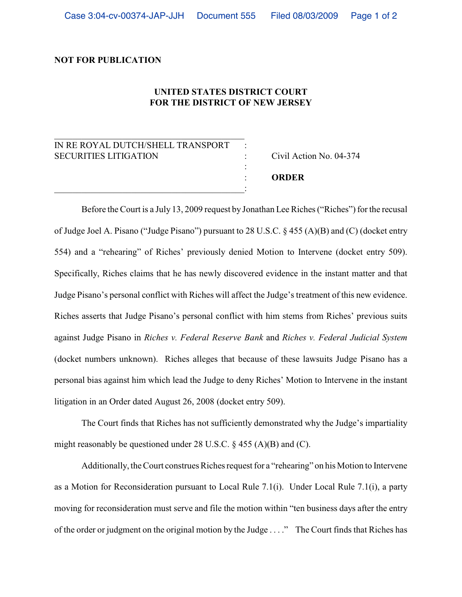## **NOT FOR PUBLICATION**

## **UNITED STATES DISTRICT COURT FOR THE DISTRICT OF NEW JERSEY**

:

## IN RE ROYAL DUTCH/SHELL TRANSPORT SECURITIES LITIGATION : Civil Action No. 04-374

\_\_\_\_\_\_\_\_\_\_\_\_\_\_\_\_\_\_\_\_\_\_\_\_\_\_\_\_\_\_\_\_\_\_\_\_\_\_\_\_\_\_

 $\overline{\phantom{a}}$  , and the set of the set of the set of the set of the set of the set of the set of the set of the set of the set of the set of the set of the set of the set of the set of the set of the set of the set of the s

: **ORDER**

Before the Court is a July 13, 2009 request by Jonathan Lee Riches ("Riches") for the recusal of Judge Joel A. Pisano ("Judge Pisano") pursuant to 28 U.S.C. § 455 (A)(B) and (C) (docket entry 554) and a "rehearing" of Riches' previously denied Motion to Intervene (docket entry 509). Specifically, Riches claims that he has newly discovered evidence in the instant matter and that Judge Pisano's personal conflict with Riches will affect the Judge's treatment of this new evidence. Riches asserts that Judge Pisano's personal conflict with him stems from Riches' previous suits against Judge Pisano in *Riches v. Federal Reserve Bank* and *Riches v. Federal Judicial System* (docket numbers unknown). Riches alleges that because of these lawsuits Judge Pisano has a personal bias against him which lead the Judge to deny Riches' Motion to Intervene in the instant litigation in an Order dated August 26, 2008 (docket entry 509).

The Court finds that Riches has not sufficiently demonstrated why the Judge's impartiality might reasonably be questioned under 28 U.S.C.  $\S$  455 (A)(B) and (C).

Additionally, the Court construes Riches request for a "rehearing" on his Motion to Intervene as a Motion for Reconsideration pursuant to Local Rule 7.1(i). Under Local Rule 7.1(i), a party moving for reconsideration must serve and file the motion within "ten business days after the entry of the order or judgment on the original motion by the Judge . . . ." The Court finds that Riches has